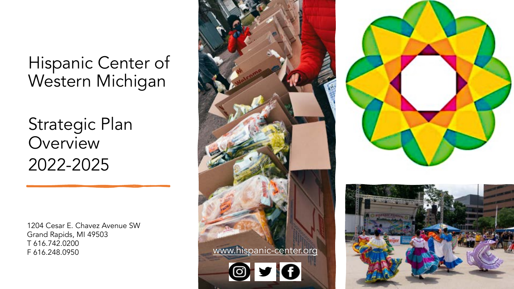Strategic Plan **Overview** 2022-2025

1204 Cesar E. Chavez Avenue SW Grand Rapids, MI 49503 T 616.742.0200 F 616.248.0950





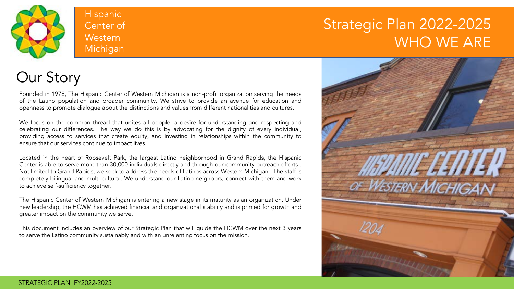

### Strategic Plan 2022-2025 WHO WE ARE

### Our Story

Founded in 1978, The Hispanic Center of Western Michigan is a non-profit organization serving the needs of the Latino population and broader community. We strive to provide an avenue for education and openness to promote dialogue about the distinctions and values from different nationalities and cultures.

We focus on the common thread that unites all people: a desire for understanding and respecting and celebrating our differences. The way we do this is by advocating for the dignity of every individual, providing access to services that create equity, and investing in relationships within the community to ensure that our services continue to impact lives.

Located in the heart of Roosevelt Park, the largest Latino neighborhood in Grand Rapids, the Hispanic Center is able to serve more than 30,000 individuals directly and through our community outreach efforts . Not limited to Grand Rapids, we seek to address the needs of Latinos across Western Michigan. The staff is completely bilingual and multi-cultural. We understand our Latino neighbors, connect with them and work to achieve self-sufficiency together.

The Hispanic Center of Western Michigan is entering a new stage in its maturity as an organization. Under new leadership, the HCWM has achieved financial and organizational stability and is primed for growth and greater impact on the community we serve.

This document includes an overview of our Strategic Plan that will guide the HCWM over the next 3 years to serve the Latino community sustainably and with an unrelenting focus on the mission.

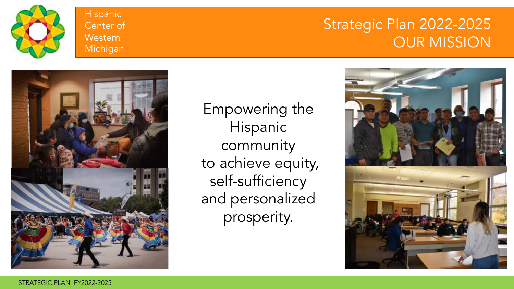

### Strategic Plan 2022-2025 OUR MISSION



Empowering the Hispanic community to achieve equity, self-sufficiency and personalized prosperity.

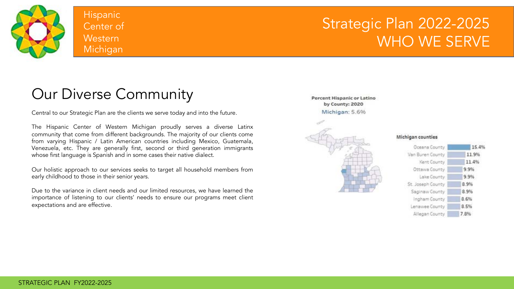

### Strategic Plan 2022-2025 WHO WE SERVE

## Our Diverse Community

Central to our Strategic Plan are the clients we serve today and into the future.

The Hispanic Center of Western Michigan proudly serves a diverse Latinx community that come from different backgrounds. The majority of our clients come from varying Hispanic / Latin American countries including Mexico, Guatemala, Venezuela, etc. They are generally first, second or third generation immigrants whose first language is Spanish and in some cases their native dialect.

Our holistic approach to our services seeks to target all household members from early childhood to those in their senior years.

Due to the variance in client needs and our limited resources, we have learned the importance of listening to our clients' needs to ensure our programs meet client expectations and are effective.

Percent Hispanic or Latino by County: 2020 Michigan: 5.696



#### Michigan counties

| Oceana County     | 15.49 |
|-------------------|-------|
| Van Buren County  | 11.9% |
| Kent County       | 11.4% |
| Ottawa County     | 9.9%  |
| Lake County       | 9.9%  |
| St. Joseph County | 8.9%  |
| Saginaw County    | 8.9%  |
| Ingham County     | 8.6%  |
| Lenawee County    | 8.5%  |
| Allegan County    | 7.8%  |
|                   |       |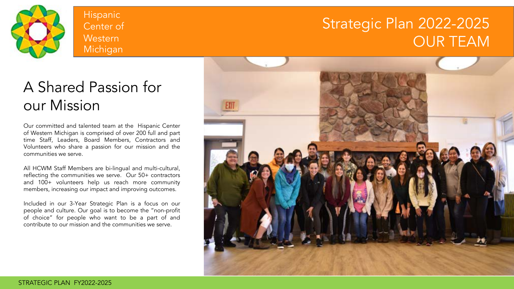

### Strategic Plan 2022-2025 OUR TEAM

## A Shared Passion for our Mission

Our committed and talented team at the Hispanic Center of Western Michigan is comprised of over 200 full and part time Staff, Leaders, Board Members, Contractors and Volunteers who share a passion for our mission and the communities we serve.

All HCWM Staff Members are bi-lingual and multi-cultural, reflecting the communities we serve. Our 50+ contractors and 100+ volunteers help us reach more community members, increasing our impact and improving outcomes.

Included in our 3-Year Strategic Plan is a focus on our people and culture. Our goal is to become the "non-profit of choice" for people who want to be a part of and contribute to our mission and the communities we serve.

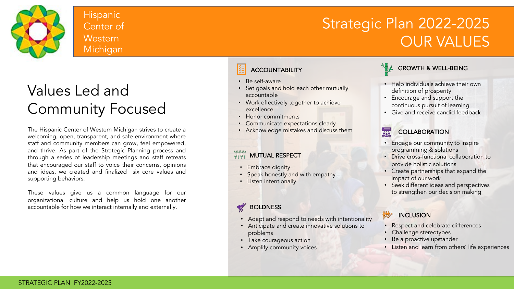

## Strategic Plan 2022-2025 OUR VALUES

# Values Led and Community Focused

The Hispanic Center of Western Michigan strives to create a welcoming, open, transparent, and safe environment where staff and community members can grow, feel empowered, and thrive. As part of the Strategic Planning process and through a series of leadership meetings and staff retreats that encouraged our staff to voice their concerns, opinions and ideas, we created and finalized six core values and supporting behaviors.

These values give us a common language for our organizational culture and help us hold one another accountable for how we interact internally and externally.

### **ACCOUNTABILITY**

- Be self-aware
- Set goals and hold each other mutually accountable
- Work effectively together to achieve excellence
- Honor commitments
- Communicate expectations clearly
- Acknowledge mistakes and discuss them

### **WWW MUTUAL RESPECT**

- Embrace dignity
- **Speak honestly and with empathy**
- Listen intentionally

### **BOLDNESS**

- Adapt and respond to needs with intentionality
- Anticipate and create innovative solutions to problems
- Take courageous action
- Amplify community voices

### $\bigvee$  GROWTH & WELL-BEING

- Help individuals achieve their own definition of prosperity
- Encourage and support the continuous pursuit of learning
- Give and receive candid feedback

#### 暴 **COLLABORATION**

- Engage our community to inspire programming & solutions
- Drive cross-functional collaboration to provide holistic solutions
- Create partnerships that expand the impact of our work
- Seek different ideas and perspectives to strengthen our decision making

#### INCLUSION **MARK**

- Respect and celebrate differences
- Challenge stereotypes
- Be a proactive upstander
- Listen and learn from others' life experiences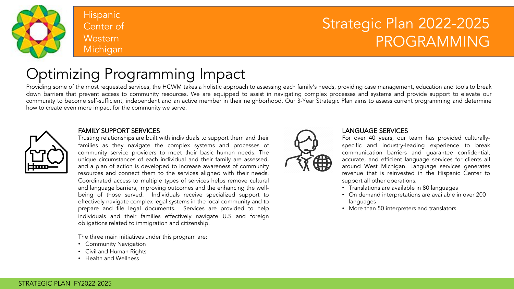

### Strategic Plan 2022-2025 PROGRAMMING

# Optimizing Programming Impact

Providing some of the most requested services, the HCWM takes a holistic approach to assessing each family's needs, providing case management, education and tools to break down barriers that prevent access to community resources. We are equipped to assist in navigating complex processes and systems and provide support to elevate our community to become self-sufficient, independent and an active member in their neighborhood. Our 3-Year Strategic Plan aims to assess current programming and determine how to create even more impact for the community we serve.



#### FAMILY SUPPORT SERVICES

Trusting relationships are built with individuals to support them and their families as they navigate the complex systems and processes of community service providers to meet their basic human needs. The unique circumstances of each individual and their family are assessed, and a plan of action is developed to increase awareness of community resources and connect them to the services aligned with their needs. Coordinated access to multiple types of services helps remove cultural and language barriers, improving outcomes and the enhancing the wellbeing of those served. Individuals receive specialized support to effectively navigate complex legal systems in the local community and to prepare and file legal documents. Services are provided to help individuals and their families effectively navigate U.S and foreign obligations related to immigration and citizenship.

The three main initiatives under this program are:

- Community Navigation
- Civil and Human Rights
- Health and Wellness



#### LANGUAGE SERVICES

For over 40 years, our team has provided culturallyspecific and industry-leading experience to break communication barriers and guarantee confidential, accurate, and efficient language services for clients all around West Michigan. Language services generates revenue that is reinvested in the Hispanic Center to support all other operations.

- Translations are available in 80 languages
- On demand interpretations are available in over 200 languages
- More than 50 interpreters and translators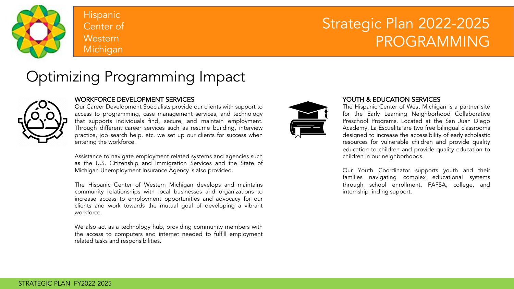

### Strategic Plan 2022-2025 PROGRAMMING

### Optimizing Programming Impact



#### WORKFORCE DEVELOPMENT SERVICES

Our Career Development Specialists provide our clients with support to access to programming, case management services, and technology that supports individuals find, secure, and maintain employment. Through different career services such as resume building, interview practice, job search help, etc. we set up our clients for success when entering the workforce.

Assistance to navigate employment related systems and agencies such as the U.S. Citizenship and Immigration Services and the State of Michigan Unemployment Insurance Agency is also provided.

The Hispanic Center of Western Michigan develops and maintains community relationships with local businesses and organizations to increase access to employment opportunities and advocacy for our clients and work towards the mutual goal of developing a vibrant workforce.

We also act as a technology hub, providing community members with the access to computers and internet needed to fulfill employment related tasks and responsibilities.



#### YOUTH & EDUCATION SERVICES

The Hispanic Center of West Michigan is a partner site for the Early Learning Neighborhood Collaborative Preschool Programs. Located at the San Juan Diego Academy, La Escuelita are two free bilingual classrooms designed to increase the accessibility of early scholastic resources for vulnerable children and provide quality education to children and provide quality education to children in our neighborhoods.

Our Youth Coordinator supports youth and their families navigating complex educational systems through school enrollment, FAFSA, college, and internship finding support.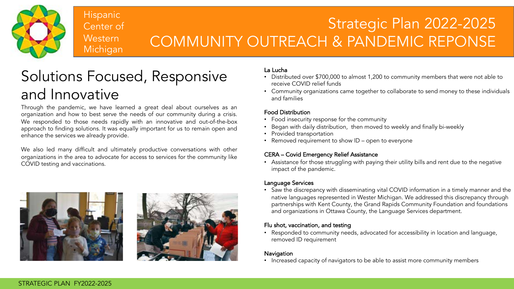

## Strategic Plan 2022-2025 COMMUNITY OUTREACH & PANDEMIC REPONSE

# Solutions Focused, Responsive and Innovative

Through the pandemic, we have learned a great deal about ourselves as an organization and how to best serve the needs of our community during a crisis. We responded to those needs rapidly with an innovative and out-of-the-box approach to finding solutions. It was equally important for us to remain open and enhance the services we already provide.

We also led many difficult and ultimately productive conversations with other organizations in the area to advocate for access to services for the community like COVID testing and vaccinations.



#### La Lucha

- Distributed over \$700,000 to almost 1,200 to community members that were not able to receive COVID relief funds
- Community organizations came together to collaborate to send money to these individuals and families

#### Food Distribution

- Food insecurity response for the community
- Began with daily distribution, then moved to weekly and finally bi-weekly
- Provided transportation
- Removed requirement to show ID open to everyone

### CERA – Covid Emergency Relief Assistance

• Assistance for those struggling with paying their utility bills and rent due to the negative impact of the pandemic.

#### Language Services

• Saw the discrepancy with disseminating vital COVID information in a timely manner and the native languages represented in Wester Michigan. We addressed this discrepancy through partnerships with Kent County, the Grand Rapids Community Foundation and foundations and organizations in Ottawa County, the Language Services department.

#### Flu shot, vaccination, and testing

• Responded to community needs, advocated for accessibility in location and language, removed ID requirement

#### Navigation

• Increased capacity of navigators to be able to assist more community members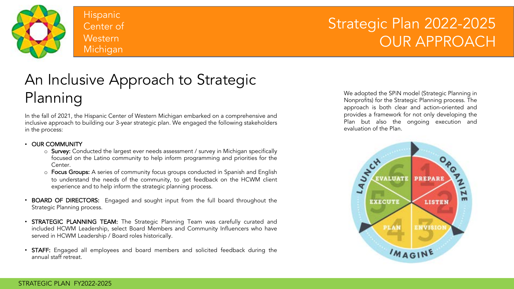

### Strategic Plan 2022-2025 OUR APPROACH

## An Inclusive Approach to Strategic Planning

In the fall of 2021, the Hispanic Center of Western Michigan embarked on a comprehensive and inclusive approach to building our 3-year strategic plan. We engaged the following stakeholders in the process:

#### • OUR COMMUNITY

- o Survey: Conducted the largest ever needs assessment / survey in Michigan specifically focused on the Latino community to help inform programming and priorities for the Center.
- o Focus Groups: A series of community focus groups conducted in Spanish and English to understand the needs of the community, to get feedback on the HCWM client experience and to help inform the strategic planning process.
- BOARD OF DIRECTORS: Engaged and sought input from the full board throughout the Strategic Planning process.
- **STRATEGIC PLANNING TEAM:** The Strategic Planning Team was carefully curated and included HCWM Leadership, select Board Members and Community Influencers who have served in HCWM Leadership / Board roles historically.
- STAFF: Engaged all employees and board members and solicited feedback during the annual staff retreat.

We adopted the SPiN model (Strategic Planning in Nonprofits) for the Strategic Planning process. The approach is both clear and action-oriented and provides a framework for not only developing the Plan but also the ongoing execution and evaluation of the Plan.

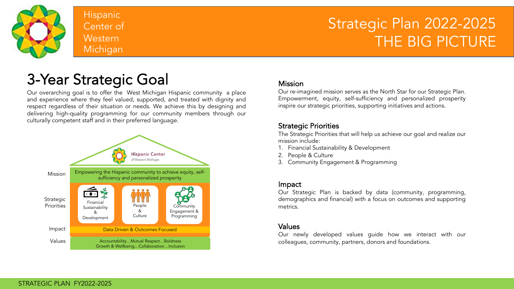

### Strategic Plan 2022-2025 THE BIG PICTURE

### 3-Year Strategic Goal

Our overarching goal is to offer the West Michigan Hispanic community a place and experience where they feel valued, supported, and treated with dignity and respect regardless of their situation or needs. We achieve this by designing and delivering high-quality programming for our community members through our culturally competent staff and in their preferred language.



#### Mission

Our re-imagined mission serves as the North Star for our Strategic Plan. Empowerment, equity, self-sufficiency and personalized prosperity inspire our strategic priorities, supporting initiatives and actions.

### Strategic Priorities

The Strategic Priorities that will help us achieve our goal and realize our mission include:

- 1. Financial Sustainability & Development
- 2. People & Culture
- 3. Community Engagement & Programming

### Impact

Our Strategic Plan is backed by data (community, programming, demographics and financial) with a focus on outcomes and supporting metrics.

### Values

Our newly developed values guide how we interact with our colleagues, community, partners, donors and foundations.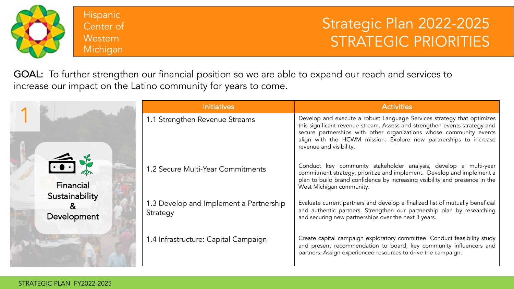

Strategic Plan 2022-2025 STRATEGIC PRIORITIES

GOAL: To further strengthen our financial position so we are able to expand our reach and services to increase our impact on the Latino community for years to come.

|                                                        | <b>Initiatives</b>                                  | <b>Activities</b>                                                                                                                                                                                                                                                                                                           |
|--------------------------------------------------------|-----------------------------------------------------|-----------------------------------------------------------------------------------------------------------------------------------------------------------------------------------------------------------------------------------------------------------------------------------------------------------------------------|
|                                                        | 1.1 Strengthen Revenue Streams                      | Develop and execute a robust Language Services strategy that optimizes<br>this significant revenue stream. Assess and strengthen events strategy and<br>secure partnerships with other organizations whose community events<br>align with the HCWM mission. Explore new partnerships to increase<br>revenue and visibility. |
| $\bigoplus$<br>Financial                               | 1.2 Secure Multi-Year Commitments                   | Conduct key community stakeholder analysis, develop a multi-year<br>commitment strategy, prioritize and implement. Develop and implement a<br>plan to build brand confidence by increasing visibility and presence in the<br>West Michigan community.                                                                       |
| Sustainability<br>$\boldsymbol{\alpha}$<br>Development | 1.3 Develop and Implement a Partnership<br>Strategy | Evaluate current partners and develop a finalized list of mutually beneficial<br>and authentic partners. Strengthen our partnership plan by researching<br>and securing new partnerships over the next 3 years.                                                                                                             |
|                                                        | 1.4 Infrastructure: Capital Campaign                | Create capital campaign exploratory committee. Conduct feasibility study<br>and present recommendation to board, key community influencers and<br>partners. Assign experienced resources to drive the campaign.                                                                                                             |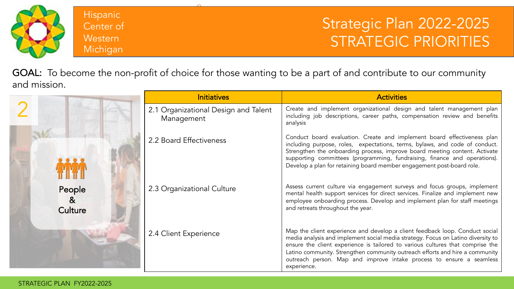

### Strategic Plan 2022-2025 STRATEGIC PRIORITIES

GOAL: To become the non-profit of choice for those wanting to be a part of and contribute to our community and mission.

|                                     | <b>Initiatives</b>                                 | <b>Activities</b>                                                                                                                                                                                                                                                                                                                                                                                                         |
|-------------------------------------|----------------------------------------------------|---------------------------------------------------------------------------------------------------------------------------------------------------------------------------------------------------------------------------------------------------------------------------------------------------------------------------------------------------------------------------------------------------------------------------|
|                                     | 2.1 Organizational Design and Talent<br>Management | Create and implement organizational design and talent management plan<br>including job descriptions, career paths, compensation review and benefits<br>analysis                                                                                                                                                                                                                                                           |
|                                     | 2.2 Board Effectiveness                            | Conduct board evaluation. Create and implement board effectiveness plan<br>including purpose, roles, expectations, terms, bylaws, and code of conduct.<br>Strengthen the onboarding process, improve board meeting content. Activate<br>supporting committees (programming, fundraising, finance and operations).<br>Develop a plan for retaining board member engagement post-board role.                                |
| People<br>8 <sup>2</sup><br>Culture | 2.3 Organizational Culture                         | Assess current culture via engagement surveys and focus groups, implement<br>mental health support services for direct services. Finalize and implement new<br>employee onboarding process. Develop and implement plan for staff meetings<br>and retreats throughout the year.                                                                                                                                            |
|                                     | 2.4 Client Experience                              | Map the client experience and develop a client feedback loop. Conduct social<br>media analysis and implement social media strategy. Focus on Latino diversity to<br>ensure the client experience is tailored to various cultures that comprise the<br>Latino community. Strengthen community outreach efforts and hire a community<br>outreach person. Map and improve intake process to ensure a seamless<br>experience. |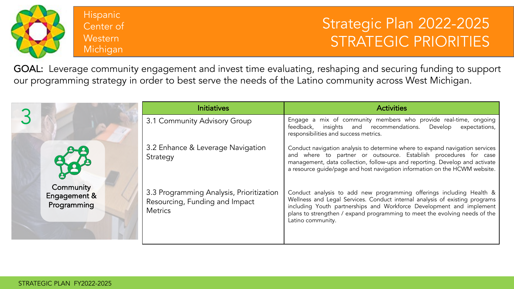

### Strategic Plan 2022-2025 STRATEGIC PRIORITIES

GOAL: Leverage community engagement and invest time evaluating, reshaping and securing funding to support our programming strategy in order to best serve the needs of the Latino community across West Michigan.

|                                          | <b>Initiatives</b>                                                                           | <b>Activities</b>                                                                                                                                                                                                                                                                                                              |
|------------------------------------------|----------------------------------------------------------------------------------------------|--------------------------------------------------------------------------------------------------------------------------------------------------------------------------------------------------------------------------------------------------------------------------------------------------------------------------------|
|                                          | 3.1 Community Advisory Group                                                                 | Engage a mix of community members who provide real-time, ongoing<br>feedback, insights and recommendations. Develop<br>expectations,<br>responsibilities and success metrics.                                                                                                                                                  |
|                                          | 3.2 Enhance & Leverage Navigation<br>Strategy                                                | Conduct navigation analysis to determine where to expand navigation services<br>and where to partner or outsource. Establish procedures for case<br>management, data collection, follow-ups and reporting. Develop and activate<br>a resource guide/page and host navigation information on the HCWM website.                  |
| Community<br>Engagement &<br>Programming | 3.3 Programming Analysis, Prioritization<br>Resourcing, Funding and Impact<br><b>Metrics</b> | Conduct analysis to add new programming offerings including Health &<br>Wellness and Legal Services. Conduct internal analysis of existing programs<br>including Youth partnerships and Workforce Development and implement<br>plans to strengthen / expand programming to meet the evolving needs of the<br>Latino community. |